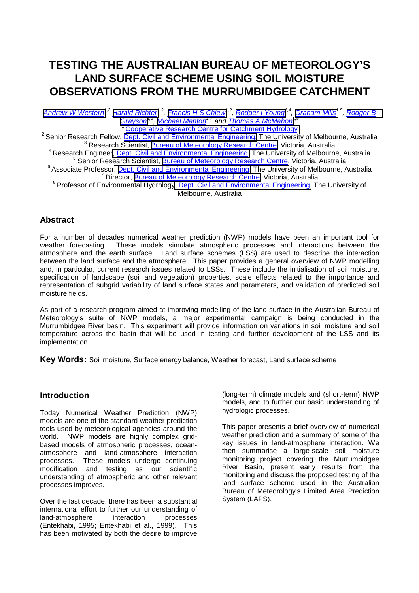# **TESTING THE AUSTRALIAN BUREAU OF METEOROLOGY'S LAND SURFACE SCHEME USING SOIL MOISTURE OBSERVATIONS FROM THE MURRUMBIDGEE CATCHMENT**

*[Andrew W Western1](mailto:a.western@civag.unimelb.edu.au),2 [Harald Richter](mailto:h.richter@bom.gov.au)1,3, [Francis H S Chiew1](mailto:f.chiew@civag.umimelb.edu.au),2, [Rodger I Young1](mailto:r.young@civag.unimelb.edu.au),4, [Graham Mills1](mailto:g.mills@bom.gov.au),5, [Rodger B](mailto:r.grayson@civag.unimelb.edu.au) Grayson<sup>1,6</sup>, Michael Manton<sup>1,7</sup> and Thomas A McMahon<sup>1,8</sup><br><sup>1</sup> Cooperative Research Centre for Catchment Hydrology* 

<sup>2</sup> Senior Research Fellow, *Dept. Civil and Environmental Engineering*, The University of Melbourne, Australia <sup>3</sup> Research Scientist, **Bureau of Meteorology Research Centre**, Victoria, Australia

<sup>4</sup> Research Engineer, *Dept. Civil and Environmental Engineering*, The University of Melbourne, Australia <sup>5</sup> Senior Research Scientist, [Bureau of Meteorology Research Centre,](http://www.bom.gov.au/bmrc/) Victoria, Australia

<sup>6</sup> Associate Professor[, Dept. Civil and Environmental Engineering,](http://www.civag.unimelb.edu.au/) The University of Melbourne, Australia <sup>7</sup> Director, [Bureau of Meteorology Research Centre,](http://www.bom.gov.au/bmrc/) Victoria, Australia

<sup>8</sup> Professor of Environmental Hydrolog[y, Dept. Civil and Environmental Engineering,](http://www.civag.unimelb.edu.au/) The University of Melbourne, Australia

## **Abstract**

For a number of decades numerical weather prediction (NWP) models have been an important tool for weather forecasting. These models simulate atmospheric processes and interactions between the atmosphere and the earth surface. Land surface schemes (LSS) are used to describe the interaction between the land surface and the atmosphere. This paper provides a general overview of NWP modelling and, in particular, current research issues related to LSSs. These include the initialisation of soil moisture, specification of landscape (soil and vegetation) properties, scale effects related to the importance and representation of subgrid variability of land surface states and parameters, and validation of predicted soil moisture fields.

As part of a research program aimed at improving modelling of the land surface in the Australian Bureau of Meteorology's suite of NWP models, a major experimental campaign is being conducted in the Murrumbidgee River basin. This experiment will provide information on variations in soil moisture and soil temperature across the basin that will be used in testing and further development of the LSS and its implementation.

**Key Words:** Soil moisture, Surface energy balance, Weather forecast, Land surface scheme

#### **Introduction**

Today Numerical Weather Prediction (NWP) models are one of the standard weather prediction tools used by meteorological agencies around the world. NWP models are highly complex gridbased models of atmospheric processes, oceanatmosphere and land-atmosphere interaction processes. These models undergo continuing modification and testing as our scientific understanding of atmospheric and other relevant processes improves.

Over the last decade, there has been a substantial international effort to further our understanding of land-atmosphere interaction processes (Entekhabi, 1995; Entekhabi et al., 1999). This has been motivated by both the desire to improve

(long-term) climate models and (short-term) NWP models, and to further our basic understanding of hydrologic processes.

This paper presents a brief overview of numerical weather prediction and a summary of some of the key issues in land-atmosphere interaction. We then summarise a large-scale soil moisture monitoring project covering the Murrumbidgee River Basin, present early results from the monitoring and discuss the proposed testing of the land surface scheme used in the Australian Bureau of Meteorology's Limited Area Prediction System (LAPS).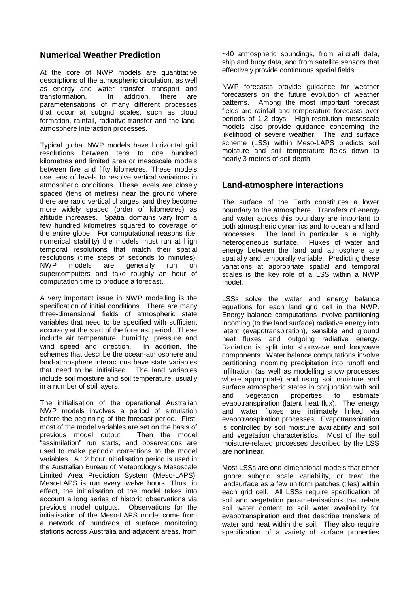## **Numerical Weather Prediction**

At the core of NWP models are quantitative descriptions of the atmospheric circulation, as well as energy and water transfer, transport and transformation. In addition, there are parameterisations of many different processes that occur at subgrid scales, such as cloud formation, rainfall, radiative transfer and the landatmosphere interaction processes.

Typical global NWP models have horizontal grid resolutions between tens to one hundred kilometres and limited area or mesoscale models between five and fifty kilometres. These models use tens of levels to resolve vertical variations in atmospheric conditions. These levels are closely spaced (tens of metres) near the ground where there are rapid vertical changes, and they become more widely spaced (order of kilometres) as altitude increases. Spatial domains vary from a few hundred kilometres squared to coverage of the entire globe. For computational reasons (i.e. numerical stability) the models must run at high temporal resolutions that match their spatial resolutions (time steps of seconds to minutes). NWP models are generally run on supercomputers and take roughly an hour of computation time to produce a forecast.

A very important issue in NWP modelling is the specification of initial conditions. There are many three-dimensional fields of atmospheric state variables that need to be specified with sufficient accuracy at the start of the forecast period. These include air temperature, humidity, pressure and wind speed and direction. In addition, the schemes that describe the ocean-atmosphere and land-atmosphere interactions have state variables that need to be initialised. The land variables include soil moisture and soil temperature, usually in a number of soil layers.

The initialisation of the operational Australian NWP models involves a period of simulation before the beginning of the forecast period. First, most of the model variables are set on the basis of previous model output. Then the model "assimilation" run starts, and observations are used to make periodic corrections to the model variables. A 12 hour initialisation period is used in the Australian Bureau of Meteorology's Mesoscale Limited Area Prediction System (Meso-LAPS). Meso-LAPS is run every twelve hours. Thus, in effect, the initialisation of the model takes into account a long series of historic observations via previous model outputs. Observations for the initialisation of the Meso-LAPS model come from a network of hundreds of surface monitoring stations across Australia and adjacent areas, from

~40 atmospheric soundings, from aircraft data, ship and buoy data, and from satellite sensors that effectively provide continuous spatial fields.

NWP forecasts provide guidance for weather forecasters on the future evolution of weather patterns. Among the most important forecast fields are rainfall and temperature forecasts over periods of 1-2 days. High-resolution mesoscale models also provide guidance concerning the likelihood of severe weather. The land surface scheme (LSS) within Meso-LAPS predicts soil moisture and soil temperature fields down to nearly 3 metres of soil depth.

### **Land-atmosphere interactions**

The surface of the Earth constitutes a lower boundary to the atmosphere. Transfers of energy and water across this boundary are important to both atmospheric dynamics and to ocean and land processes. The land in particular is a highly heterogeneous surface. Fluxes of water and energy between the land and atmosphere are spatially and temporally variable. Predicting these variations at appropriate spatial and temporal scales is the key role of a LSS within a NWP model.

LSSs solve the water and energy balance equations for each land grid cell in the NWP. Energy balance computations involve partitioning incoming (to the land surface) radiative energy into latent (evapotranspiration), sensible and ground heat fluxes and outgoing radiative energy. Radiation is split into shortwave and longwave components. Water balance computations involve partitioning incoming precipitation into runoff and infiltration (as well as modelling snow processes where appropriate) and using soil moisture and surface atmospheric states in conjunction with soil and vegetation properties to estimate evapotranspiration (latent heat flux). The energy and water fluxes are intimately linked via evapotranspiration processes. Evapotranspiration is controlled by soil moisture availability and soil and vegetation characteristics. Most of the soil moisture-related processes described by the LSS are nonlinear.

Most LSSs are one-dimensional models that either ignore subgrid scale variability, or treat the landsurface as a few uniform patches (tiles) within each grid cell. All LSSs require specification of soil and vegetation parameterisations that relate soil water content to soil water availability for evapotranspiration and that describe transfers of water and heat within the soil. They also require specification of a variety of surface properties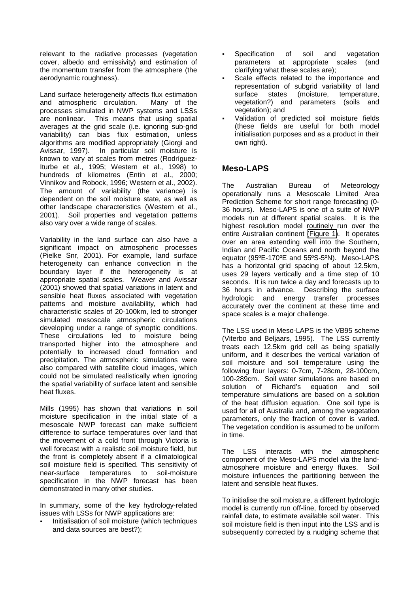relevant to the radiative processes (vegetation cover, albedo and emissivity) and estimation of the momentum transfer from the atmosphere (the aerodynamic roughness).

Land surface heterogeneity affects flux estimation and atmospheric circulation. Many of the processes simulated in NWP systems and LSSs are nonlinear. This means that using spatial averages at the grid scale (i.e. ignoring sub-grid variability) can bias flux estimation, unless algorithms are modified appropriately (Giorgi and Avissar, 1997). In particular soil moisture is known to vary at scales from metres (Rodríguez-Iturbe et al., 1995; Western et al., 1998) to hundreds of kilometres (Entin et al., 2000; Vinnikov and Robock, 1996; Western et al., 2002). The amount of variability (the variance) is dependent on the soil moisture state, as well as other landscape characteristics (Western et al., 2001). Soil properties and vegetation patterns also vary over a wide range of scales.

Variability in the land surface can also have a significant impact on atmospheric processes (Pielke Snr, 2001). For example, land surface heterogeneity can enhance convection in the boundary layer if the heterogeneity is at appropriate spatial scales. Weaver and Avissar (2001) showed that spatial variations in latent and sensible heat fluxes associated with vegetation patterns and moisture availability, which had characteristic scales of 20-100km, led to stronger simulated mesoscale atmospheric circulations developing under a range of synoptic conditions. These circulations led to moisture being transported higher into the atmosphere and potentially to increased cloud formation and precipitation. The atmospheric simulations were also compared with satellite cloud images, which could not be simulated realistically when ignoring the spatial variability of surface latent and sensible heat fluxes.

Mills (1995) has shown that variations in soil moisture specification in the initial state of a mesoscale NWP forecast can make sufficient difference to surface temperatures over land that the movement of a cold front through Victoria is well forecast with a realistic soil moisture field, but the front is completely absent if a climatological soil moisture field is specified. This sensitivity of near-surface temperatures to soil-moisture specification in the NWP forecast has been demonstrated in many other studies.

In summary, some of the key hydrology-related issues with LSSs for NWP applications are:

Initialisation of soil moisture (which techniques and data sources are best?);

- Specification of soil and vegetation parameters at appropriate scales (and clarifying what these scales are);
- Scale effects related to the importance and representation of subgrid variability of land surface states (moisture, temperature, vegetation?) and parameters (soils and vegetation); and
- ! Validation of predicted soil moisture fields (these fields are useful for both model initialisation purposes and as a product in their own right).

## **Meso-LAPS**

The Australian Bureau of Meteorology operationally runs a Mesoscale Limited Area Prediction Scheme for short range forecasting (0- 36 hours). Meso-LAPS is one of a suite of NWP models run at different spatial scales. It is the highest resolution model routinely run over the entire Australian continent [\(Figure 1\)](#page-3-0). It operates over an area extending well into the Southern, Indian and Pacific Oceans and north beyond the equator (95ºE-170ºE and 55ºS-5ºN). Meso-LAPS has a horizontal grid spacing of about 12.5km, uses 29 layers vertically and a time step of 10 seconds. It is run twice a day and forecasts up to 36 hours in advance. Describing the surface hydrologic and energy transfer processes accurately over the continent at these time and space scales is a major challenge.

The LSS used in Meso-LAPS is the VB95 scheme (Viterbo and Beljaars, 1995). The LSS currently treats each 12.5km grid cell as being spatially uniform, and it describes the vertical variation of soil moisture and soil temperature using the following four layers: 0-7cm, 7-28cm, 28-100cm, 100-289cm. Soil water simulations are based on solution of Richard's equation and soil temperature simulations are based on a solution of the heat diffusion equation. One soil type is used for all of Australia and, among the vegetation parameters, only the fraction of cover is varied. The vegetation condition is assumed to be uniform in time.

The LSS interacts with the atmospheric component of the Meso-LAPS model via the landatmosphere moisture and energy fluxes. Soil moisture influences the partitioning between the latent and sensible heat fluxes.

To initialise the soil moisture, a different hydrologic model is currently run off-line, forced by observed rainfall data, to estimate available soil water. This soil moisture field is then input into the LSS and is subsequently corrected by a nudging scheme that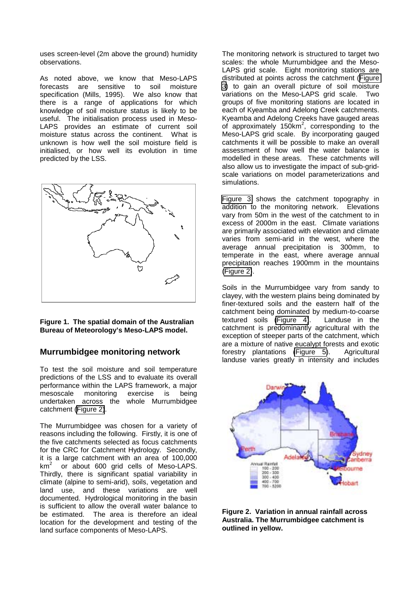<span id="page-3-0"></span>uses screen-level (2m above the ground) humidity observations.

As noted above, we know that Meso-LAPS forecasts are sensitive to soil moisture specification (Mills, 1995). We also know that there is a range of applications for which knowledge of soil moisture status is likely to be useful. The initialisation process used in Meso-LAPS provides an estimate of current soil moisture status across the continent. What is unknown is how well the soil moisture field is initialised, or how well its evolution in time predicted by the LSS.



**Figure 1. The spatial domain of the Australian Bureau of Meteorology's Meso-LAPS model.**

#### **Murrumbidgee monitoring network**

To test the soil moisture and soil temperature predictions of the LSS and to evaluate its overall performance within the LAPS framework, a major mesoscale monitoring exercise is being undertaken across the whole Murrumbidgee catchment (Figure 2).

The Murrumbidgee was chosen for a variety of reasons including the following. Firstly, it is one of the five catchments selected as focus catchments for the CRC for Catchment Hydrology. Secondly, it is a large catchment with an area of 100,000  $km<sup>2</sup>$  or about 600 grid cells of Meso-LAPS. Thirdly, there is significant spatial variability in climate (alpine to semi-arid), soils, vegetation and land use, and these variations are well documented. Hydrological monitoring in the basin is sufficient to allow the overall water balance to be estimated. The area is therefore an ideal location for the development and testing of the land surface components of Meso-LAPS.

The monitoring network is structured to target two scales: the whole Murrumbidgee and the Meso-LAPS grid scale. Eight monitoring stations are distributed at points across the catchment ([Figure](#page-4-0) [3\)](#page-4-0) to gain an overall picture of soil moisture variations on the Meso-LAPS grid scale. Two groups of five monitoring stations are located in each of Kyeamba and Adelong Creek catchments. Kyeamba and Adelong Creeks have gauged areas of approximately 150km<sup>2</sup>, corresponding to the Meso-LAPS grid scale. By incorporating gauged catchments it will be possible to make an overall assessment of how well the water balance is modelled in these areas. These catchments will also allow us to investigate the impact of sub-gridscale variations on model parameterizations and simulations.

[Figure 3](#page-4-0) shows the catchment topography in addition to the monitoring network. Elevations vary from 50m in the west of the catchment to in excess of 2000m in the east. Climate variations are primarily associated with elevation and climate varies from semi-arid in the west, where the average annual precipitation is 300mm, to temperate in the east, where average annual precipitation reaches 1900mm in the mountains (Figure 2).

Soils in the Murrumbidgee vary from sandy to clayey, with the western plains being dominated by finer-textured soils and the eastern half of the catchment being dominated by medium-to-coarse textured soils [\(Figure 4\)](#page-4-0). Landuse in the catchment is predominantly agricultural with the exception of steeper parts of the catchment, which are a mixture of native eucalypt forests and exotic forestry plantations [\(Figure 5\)](#page-4-0). Agricultural landuse varies greatly in intensity and includes



**Figure 2. Variation in annual rainfall across Australia. The Murrumbidgee catchment is outlined in yellow.**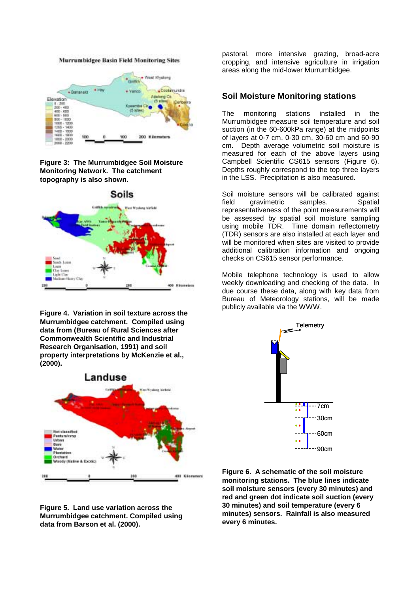

<span id="page-4-0"></span>

**Figure 3: The Murrumbidgee Soil Moisture Monitoring Network. The catchment topography is also shown.**



**Figure 4. Variation in soil texture across the Murrumbidgee catchment. Compiled using data from (Bureau of Rural Sciences after Commonwealth Scientific and Industrial Research Organisation, 1991) and soil property interpretations by McKenzie et al., (2000).**





pastoral, more intensive grazing, broad-acre cropping, and intensive agriculture in irrigation areas along the mid-lower Murrumbidgee.

#### **Soil Moisture Monitoring stations**

The monitoring stations installed in the Murrumbidgee measure soil temperature and soil suction (in the 60-600kPa range) at the midpoints of layers at 0-7 cm, 0-30 cm, 30-60 cm and 60-90 cm. Depth average volumetric soil moisture is measured for each of the above layers using Campbell Scientific CS615 sensors (Figure 6). Depths roughly correspond to the top three layers in the LSS. Precipitation is also measured.

Soil moisture sensors will be calibrated against field gravimetric samples. Spatial representativeness of the point measurements will be assessed by spatial soil moisture sampling using mobile TDR. Time domain reflectometry (TDR) sensors are also installed at each layer and will be monitored when sites are visited to provide additional calibration information and ongoing checks on CS615 sensor performance.

Mobile telephone technology is used to allow weekly downloading and checking of the data. In due course these data, along with key data from Bureau of Meteorology stations, will be made publicly available via the WWW.



**Figure 6. A schematic of the soil moisture monitoring stations. The blue lines indicate soil moisture sensors (every 30 minutes) and red and green dot indicate soil suction (every 30 minutes) and soil temperature (every 6 minutes) sensors. Rainfall is also measured every 6 minutes.**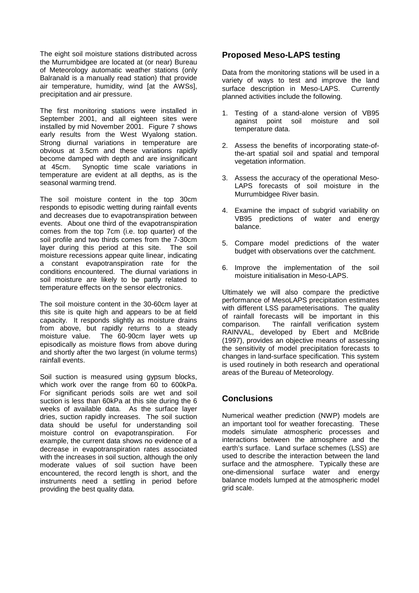The eight soil moisture stations distributed across the Murrumbidgee are located at (or near) Bureau of Meteorology automatic weather stations (only Balranald is a manually read station) that provide air temperature, humidity, wind [at the AWSs], precipitation and air pressure.

The first monitoring stations were installed in September 2001, and all eighteen sites were installed by mid November 2001. Figure 7 shows early results from the West Wyalong station. Strong diurnal variations in temperature are obvious at 3.5cm and these variations rapidly become damped with depth and are insignificant at 45cm. Synoptic time scale variations in temperature are evident at all depths, as is the seasonal warming trend.

The soil moisture content in the top 30cm responds to episodic wetting during rainfall events and decreases due to evapotranspiration between events. About one third of the evapotranspiration comes from the top 7cm (i.e. top quarter) of the soil profile and two thirds comes from the 7-30cm layer during this period at this site. The soil moisture recessions appear quite linear, indicating a constant evapotranspiration rate for the conditions encountered. The diurnal variations in soil moisture are likely to be partly related to temperature effects on the sensor electronics.

The soil moisture content in the 30-60cm layer at this site is quite high and appears to be at field capacity. It responds slightly as moisture drains from above, but rapidly returns to a steady moisture value. The 60-90cm layer wets up episodically as moisture flows from above during and shortly after the two largest (in volume terms) rainfall events.

Soil suction is measured using gypsum blocks, which work over the range from 60 to 600kPa. For significant periods soils are wet and soil suction is less than 60kPa at this site during the 6 weeks of available data. As the surface layer dries, suction rapidly increases. The soil suction data should be useful for understanding soil moisture control on evapotranspiration. For example, the current data shows no evidence of a decrease in evapotranspiration rates associated with the increases in soil suction, although the only moderate values of soil suction have been encountered, the record length is short, and the instruments need a settling in period before providing the best quality data.

## **Proposed Meso-LAPS testing**

Data from the monitoring stations will be used in a variety of ways to test and improve the land surface description in Meso-LAPS. Currently planned activities include the following.

- 1. Testing of a stand-alone version of VB95 against point soil moisture and soil temperature data.
- 2. Assess the benefits of incorporating state-ofthe-art spatial soil and spatial and temporal vegetation information.
- 3. Assess the accuracy of the operational Meso-LAPS forecasts of soil moisture in the Murrumbidgee River basin.
- 4. Examine the impact of subgrid variability on VB95 predictions of water and energy balance.
- 5. Compare model predictions of the water budget with observations over the catchment.
- 6. Improve the implementation of the soil moisture initialisation in Meso-LAPS.

Ultimately we will also compare the predictive performance of MesoLAPS precipitation estimates with different LSS parameterisations. The quality of rainfall forecasts will be important in this comparison. The rainfall verification system RAINVAL, developed by Ebert and McBride (1997), provides an objective means of assessing the sensitivity of model precipitation forecasts to changes in land-surface specification. This system is used routinely in both research and operational areas of the Bureau of Meteorology.

## **Conclusions**

Numerical weather prediction (NWP) models are an important tool for weather forecasting. These models simulate atmospheric processes and interactions between the atmosphere and the earth's surface. Land surface schemes (LSS) are used to describe the interaction between the land surface and the atmosphere. Typically these are one-dimensional surface water and energy balance models lumped at the atmospheric model grid scale.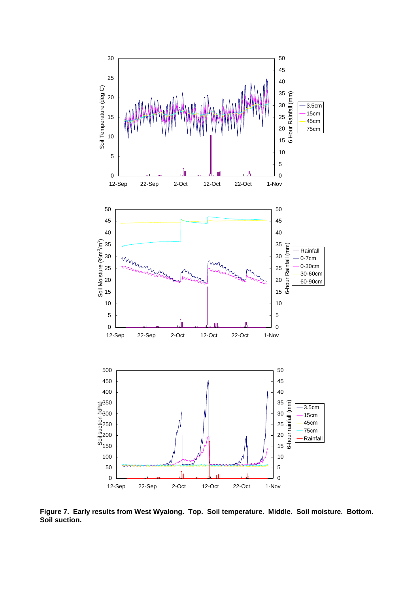

**Figure 7. Early results from West Wyalong. Top. Soil temperature. Middle. Soil moisture. Bottom. Soil suction.**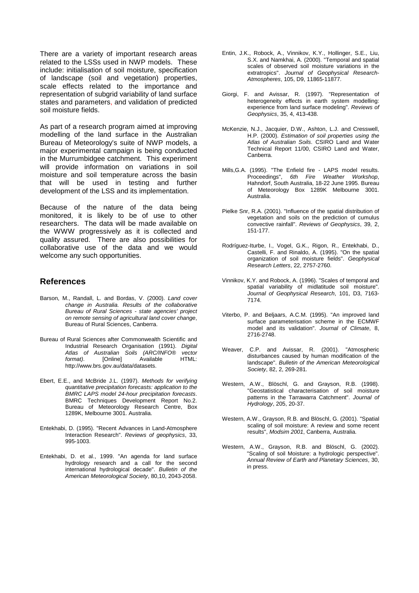There are a variety of important research areas related to the LSSs used in NWP models. These include: initialisation of soil moisture, specification of landscape (soil and vegetation) properties, scale effects related to the importance and representation of subgrid variability of land surface states and parameters, and validation of predicted soil moisture fields.

As part of a research program aimed at improving modelling of the land surface in the Australian Bureau of Meteorology's suite of NWP models, a major experimental campaign is being conducted in the Murrumbidgee catchment. This experiment will provide information on variations in soil moisture and soil temperature across the basin that will be used in testing and further development of the LSS and its implementation.

Because of the nature of the data being monitored, it is likely to be of use to other researchers. The data will be made available on the WWW progressively as it is collected and quality assured. There are also possibilities for collaborative use of the data and we would welcome any such opportunities.

#### **References**

- Barson, M., Randall, L. and Bordas, V. (2000). *Land cover change in Australia. Results of the collaborative Bureau of Rural Sciences - state agencies' project on remote sensing of agricultural land cover change*, Bureau of Rural Sciences, Canberra.
- Bureau of Rural Sciences after Commonwealth Scientific and Industrial Research Organisation (1991). *Digital Atlas of Australian Soils (ARC/INFO® vector format*). [Online] Available HTML: http://www.brs.gov.au/data/datasets.
- Ebert, E.E., and McBride J.L. (1997). *Methods for verifying quantitative precipitation forecasts: application to the BMRC LAPS model 24-hour precipitation forecasts*. BMRC Techniques Development Report No.2. Bureau of Meteorology Research Centre, Box 1289K, Melbourne 3001. Australia.
- Entekhabi, D. (1995). "Recent Advances in Land-Atmosphere Interaction Research". *Reviews of geophysics*, 33, 995-1003.
- Entekhabi, D. et al., 1999. "An agenda for land surface hydrology research and a call for the second international hydrological decade". *Bulletin of the American Meteorological Society*, 80,10, 2043-2058.
- Entin, J.K., Robock, A., Vinnikov, K.Y., Hollinger, S.E., Liu, S.X. and Namkhai, A. (2000). "Temporal and spatial scales of observed soil moisture variations in the extratropics". *Journal of Geophysical Research-Atmospheres*, 105, D9, 11865-11877.
- Giorgi, F. and Avissar, R. (1997). "Representation of heterogeneity effects in earth system modelling: experience from land surface modeling". *Reviews of Geophysics*, 35, 4, 413-438.
- McKenzie, N.J., Jacquier, D.W., Ashton, L.J. and Cresswell, H.P. (2000). *Estimation of soil properties using the Atlas of Australian Soils*. CSIRO Land and Water Technical Report 11/00, CSIRO Land and Water, Canberra.
- Mills,G.A. (1995). "The Enfield fire LAPS model results. Proceedings", *6th Fire Weather Workshop*, Hahndorf, South Australia, 18-22 June 1995. Bureau of Meteorology Box 1289K Melbourne 3001. Australia.
- Pielke Snr, R.A. (2001). "Influence of the spatial distribution of vegetation and soils on the prediction of cumulus convective rainfall". *Reviews of Geophysics*, 39, 2, 151-177.
- Rodríguez-Iturbe, I., Vogel, G.K., Rigon, R., Entekhabi, D., Castelli, F. and Rinaldo, A. (1995). "On the spatial organization of soil moisture fields". *Geophysical Research Letters*, 22, 2757-2760.
- Vinnikov, K.Y. and Robock, A. (1996). "Scales of temporal and spatial variability of midlatitude soil moisture". *Journal of Geophysical Research*, 101, D3, 7163- 7174.
- Viterbo, P. and Beljaars, A.C.M. (1995). "An improved land surface parameterisation scheme in the ECMWF model and its validation". *Journal of Climate*, 8, 2716-2748.
- Weaver, C.P. and Avissar, R. (2001). "Atmospheric disturbances caused by human modification of the landscape". *Bulletin of the American Meteorological Society*, 82, 2, 269-281.
- Western, A.W., Blöschl, G. and Grayson, R.B. (1998). "Geostatistical characterisation of soil moisture patterns in the Tarrawarra Catchment". *Journal of Hydrology*, 205, 20-37.
- Western, A.W., Grayson, R.B. and Blöschl, G. (2001). "Spatial scaling of soil moisture: A review and some recent results", *Modsim 2001*, Canberra, Australia.
- Western, A.W., Grayson, R.B. and Blöschl, G. (2002). "Scaling of soil Moisture: a hydrologic perspective". *Annual Review of Earth and Planetary Sciences*, 30, in press.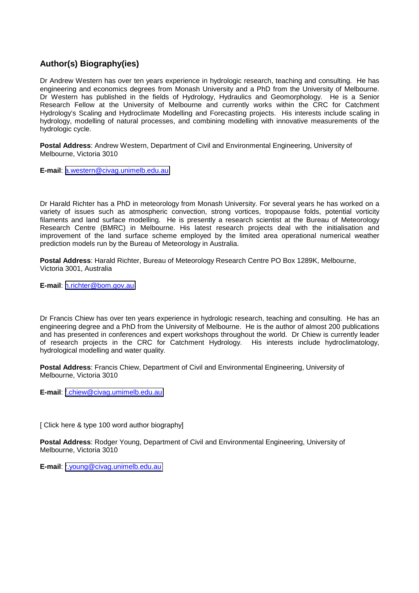## **Author(s) Biography(ies)**

Dr Andrew Western has over ten years experience in hydrologic research, teaching and consulting. He has engineering and economics degrees from Monash University and a PhD from the University of Melbourne. Dr Western has published in the fields of Hydrology, Hydraulics and Geomorphology. He is a Senior Research Fellow at the University of Melbourne and currently works within the CRC for Catchment Hydrology's Scaling and Hydroclimate Modelling and Forecasting projects. His interests include scaling in hydrology, modelling of natural processes, and combining modelling with innovative measurements of the hydrologic cycle.

**Postal Address**: Andrew Western, Department of Civil and Environmental Engineering, University of Melbourne, Victoria 3010

**E-mail**: [a.western@civag.unimelb.edu.au](mailto:a.western@civag.unimelb.edu.au)

Dr Harald Richter has a PhD in meteorology from Monash University. For several years he has worked on a variety of issues such as atmospheric convection, strong vortices, tropopause folds, potential vorticity filaments and land surface modelling. He is presently a research scientist at the Bureau of Meteorology Research Centre (BMRC) in Melbourne. His latest research projects deal with the initialisation and improvement of the land surface scheme employed by the limited area operational numerical weather prediction models run by the Bureau of Meteorology in Australia.

**Postal Address**: Harald Richter, Bureau of Meteorology Research Centre PO Box 1289K, Melbourne, Victoria 3001, Australia

**E-mail**: [h.richter@bom.gov.au](mailto:h.richter@bom.gov.au)

Dr Francis Chiew has over ten years experience in hydrologic research, teaching and consulting. He has an engineering degree and a PhD from the University of Melbourne. He is the author of almost 200 publications and has presented in conferences and expert workshops throughout the world. Dr Chiew is currently leader of research projects in the CRC for Catchment Hydrology. His interests include hydroclimatology, hydrological modelling and water quality.

**Postal Address**: Francis Chiew, Department of Civil and Environmental Engineering, University of Melbourne, Victoria 3010

**E-mail**: [f.chiew@civag.umimelb.edu.au](mailto:f.chiew@civag.umimelb.edu.au)

[ Click here & type 100 word author biography]

**Postal Address**: Rodger Young, Department of Civil and Environmental Engineering, University of Melbourne, Victoria 3010

**E-mail**: [r.young@civag.unimelb.edu.au](mailto:r.young@civag.unimelb.edu.au)